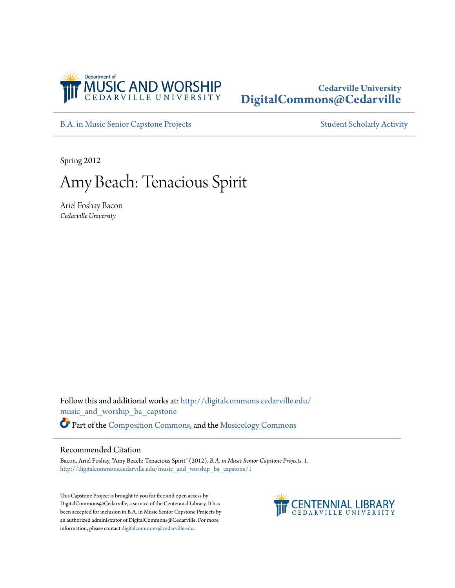

## **Cedarville University [DigitalCommons@Cedarville](http://digitalcommons.cedarville.edu?utm_source=digitalcommons.cedarville.edu%2Fmusic_and_worship_ba_capstone%2F1&utm_medium=PDF&utm_campaign=PDFCoverPages)**

[B.A. in Music Senior Capstone Projects](http://digitalcommons.cedarville.edu/music_and_worship_ba_capstone?utm_source=digitalcommons.cedarville.edu%2Fmusic_and_worship_ba_capstone%2F1&utm_medium=PDF&utm_campaign=PDFCoverPages) [Student Scholarly Activity](http://digitalcommons.cedarville.edu/music_student_scholarly_activity?utm_source=digitalcommons.cedarville.edu%2Fmusic_and_worship_ba_capstone%2F1&utm_medium=PDF&utm_campaign=PDFCoverPages)

Spring 2012

# Amy Beach: Tenacious Spirit

Ariel Foshay Bacon *Cedarville University*

Follow this and additional works at: [http://digitalcommons.cedarville.edu/](http://digitalcommons.cedarville.edu/music_and_worship_ba_capstone?utm_source=digitalcommons.cedarville.edu%2Fmusic_and_worship_ba_capstone%2F1&utm_medium=PDF&utm_campaign=PDFCoverPages) [music\\_and\\_worship\\_ba\\_capstone](http://digitalcommons.cedarville.edu/music_and_worship_ba_capstone?utm_source=digitalcommons.cedarville.edu%2Fmusic_and_worship_ba_capstone%2F1&utm_medium=PDF&utm_campaign=PDFCoverPages) Part of the [Composition Commons,](http://network.bepress.com/hgg/discipline/519?utm_source=digitalcommons.cedarville.edu%2Fmusic_and_worship_ba_capstone%2F1&utm_medium=PDF&utm_campaign=PDFCoverPages) and the [Musicology Commons](http://network.bepress.com/hgg/discipline/521?utm_source=digitalcommons.cedarville.edu%2Fmusic_and_worship_ba_capstone%2F1&utm_medium=PDF&utm_campaign=PDFCoverPages)

### Recommended Citation

Bacon, Ariel Foshay, "Amy Beach: Tenacious Spirit" (2012). *B.A. in Music Senior Capstone Projects*. 1. [http://digitalcommons.cedarville.edu/music\\_and\\_worship\\_ba\\_capstone/1](http://digitalcommons.cedarville.edu/music_and_worship_ba_capstone/1?utm_source=digitalcommons.cedarville.edu%2Fmusic_and_worship_ba_capstone%2F1&utm_medium=PDF&utm_campaign=PDFCoverPages)

This Capstone Project is brought to you for free and open access by DigitalCommons@Cedarville, a service of the Centennial Library. It has been accepted for inclusion in B.A. in Music Senior Capstone Projects by an authorized administrator of DigitalCommons@Cedarville. For more information, please contact [digitalcommons@cedarville.edu.](mailto:digitalcommons@cedarville.edu)

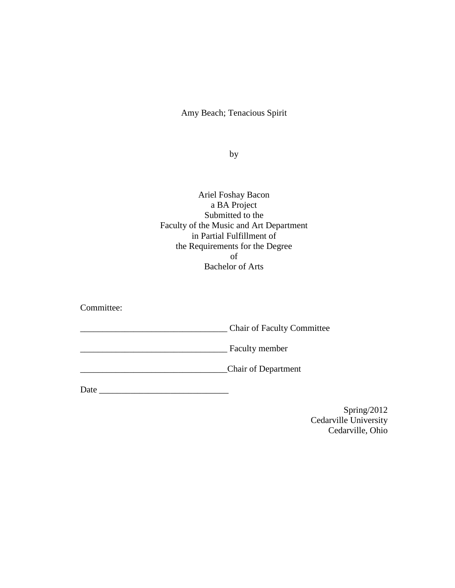Amy Beach; Tenacious Spirit

by

Ariel Foshay Bacon a BA Project Submitted to the Faculty of the Music and Art Department in Partial Fulfillment of the Requirements for the Degree of Bachelor of Arts

Committee:

\_\_\_\_\_\_\_\_\_\_\_\_\_\_\_\_\_\_\_\_\_\_\_\_\_\_\_\_\_\_\_\_\_ Chair of Faculty Committee

\_\_\_\_\_\_\_\_\_\_\_\_\_\_\_\_\_\_\_\_\_\_\_\_\_\_\_\_\_\_\_\_\_ Faculty member

\_\_\_\_\_\_\_\_\_\_\_\_\_\_\_\_\_\_\_\_\_\_\_\_\_\_\_\_\_\_\_\_\_Chair of Department

<span id="page-1-0"></span>Date \_\_\_\_\_\_\_\_\_\_\_\_\_\_\_\_\_\_\_\_\_\_\_\_\_\_\_\_\_

Spring/2012 Cedarville University Cedarville, Ohio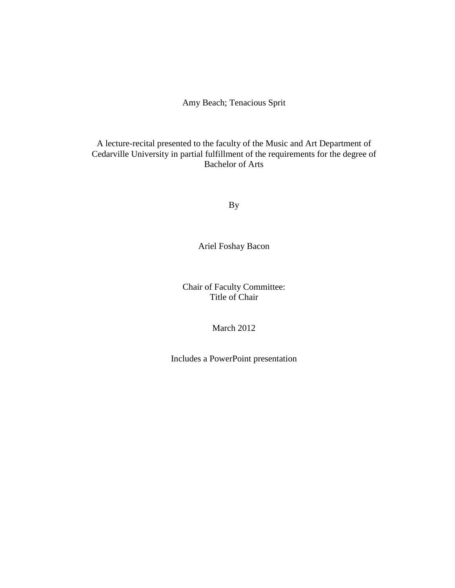## Amy Beach; Tenacious Sprit

## A lecture-recital presented to the faculty of the Music and Art Department of Cedarville University in partial fulfillment of the requirements for the degree of Bachelor of Arts

By

Ariel Foshay Bacon

Chair of Faculty Committee: Title of Chair

March 2012

Includes a PowerPoint presentation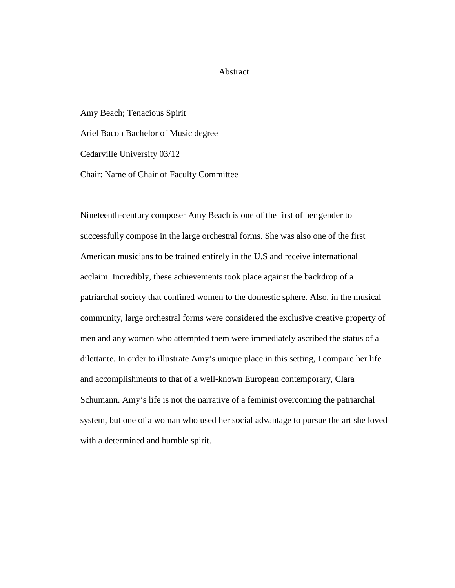### Abstract

Amy Beach; Tenacious Spirit Ariel Bacon Bachelor of Music degree Cedarville University 03/12 Chair: Name of Chair of Faculty Committee

Nineteenth-century composer Amy Beach is one of the first of her gender to successfully compose in the large orchestral forms. She was also one of the first American musicians to be trained entirely in the U.S and receive international acclaim. Incredibly, these achievements took place against the backdrop of a patriarchal society that confined women to the domestic sphere. Also, in the musical community, large orchestral forms were considered the exclusive creative property of men and any women who attempted them were immediately ascribed the status of a dilettante. In order to illustrate Amy's unique place in this setting, I compare her life and accomplishments to that of a well-known European contemporary, Clara Schumann. Amy's life is not the narrative of a feminist overcoming the patriarchal system, but one of a woman who used her social advantage to pursue the art she loved with a determined and humble spirit.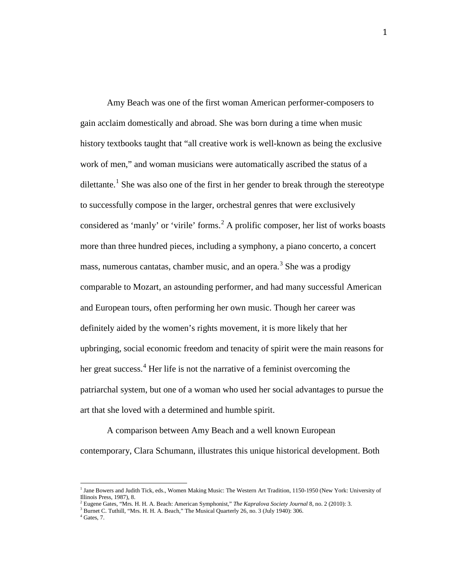Amy Beach was one of the first woman American performer-composers to gain acclaim domestically and abroad. She was born during a time when music history textbooks taught that "all creative work is well-known as being the exclusive work of men," and woman musicians were automatically ascribed the status of a dilettante.<sup>[1](#page-1-0)</sup> She was also one of the first in her gender to break through the stereotype to successfully compose in the larger, orchestral genres that were exclusively considered as 'manly' or 'virile' forms.<sup>[2](#page-4-0)</sup> A prolific composer, her list of works boasts more than three hundred pieces, including a symphony, a piano concerto, a concert mass, numerous cantatas, chamber music, and an opera.<sup>[3](#page-4-1)</sup> She was a prodigy comparable to Mozart, an astounding performer, and had many successful American and European tours, often performing her own music. Though her career was definitely aided by the women's rights movement, it is more likely that her upbringing, social economic freedom and tenacity of spirit were the main reasons for her great success. $4$  Her life is not the narrative of a feminist overcoming the patriarchal system, but one of a woman who used her social advantages to pursue the art that she loved with a determined and humble spirit.

A comparison between Amy Beach and a well known European contemporary, Clara Schumann, illustrates this unique historical development. Both

<sup>&</sup>lt;sup>1</sup> Jane Bowers and Judith Tick, eds., Women Making Music: The Western Art Tradition, 1150-1950 (New York: University of Illinois Press, 1987), 8.

<span id="page-4-3"></span><span id="page-4-0"></span>Eugene Gates, "Mrs. H. H. A. Beach: American Symphonist," *The Kapralova Society Journal* 8, no. 2 (2010): 3. Burnet C. Tuthill, "Mrs. H. H. A. Beach," The Musical Quarterly 26, no. 3 (July 1940): 306.

<span id="page-4-2"></span><span id="page-4-1"></span> $<sup>4</sup>$  Gates, 7.</sup>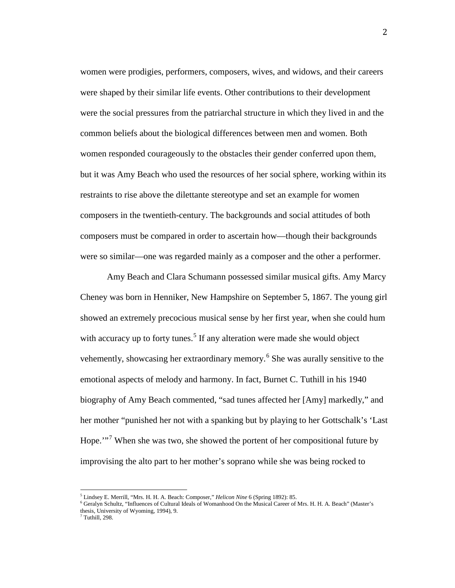women were prodigies, performers, composers, wives, and widows, and their careers were shaped by their similar life events. Other contributions to their development were the social pressures from the patriarchal structure in which they lived in and the common beliefs about the biological differences between men and women. Both women responded courageously to the obstacles their gender conferred upon them, but it was Amy Beach who used the resources of her social sphere, working within its restraints to rise above the dilettante stereotype and set an example for women composers in the twentieth-century. The backgrounds and social attitudes of both composers must be compared in order to ascertain how—though their backgrounds were so similar—one was regarded mainly as a composer and the other a performer.

Amy Beach and Clara Schumann possessed similar musical gifts. Amy Marcy Cheney was born in Henniker, New Hampshire on September 5, 1867. The young girl showed an extremely precocious musical sense by her first year, when she could hum with accuracy up to forty tunes.<sup>[5](#page-4-3)</sup> If any alteration were made she would object vehemently, showcasing her extraordinary memory. [6](#page-5-0) She was aurally sensitive to the emotional aspects of melody and harmony. In fact, Burnet C. Tuthill in his 1940 biography of Amy Beach commented, "sad tunes affected her [Amy] markedly," and her mother "punished her not with a spanking but by playing to her Gottschalk's 'Last Hope."<sup>[7](#page-5-1)</sup> When she was two, she showed the portent of her compositional future by improvising the alto part to her mother's soprano while she was being rocked to

<span id="page-5-2"></span><sup>5</sup> Lindsey E. Merrill, "Mrs. H. H. A. Beach: Composer," *Helicon Nine* 6 (Spring 1892): 85.

<span id="page-5-0"></span><sup>6</sup> Geralyn Schultz, "Influences of Cultural Ideals of Womanhood On the Musical Career of Mrs. H. H. A. Beach" (Master's thesis, University of Wyoming, 1994), 9.

<span id="page-5-1"></span> $7$  Tuthill, 298.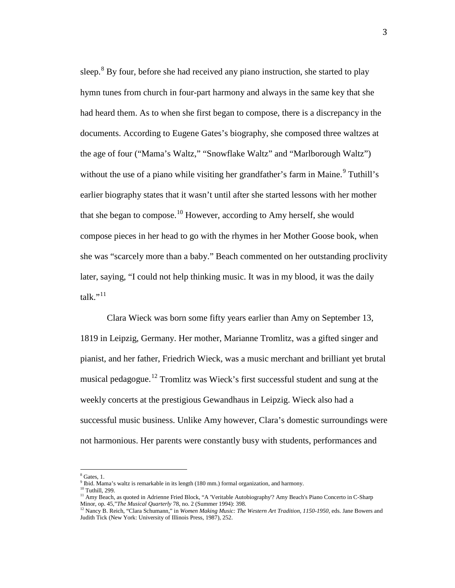sleep. $8$  By four, before she had received any piano instruction, she started to play hymn tunes from church in four-part harmony and always in the same key that she had heard them. As to when she first began to compose, there is a discrepancy in the documents. According to Eugene Gates's biography, she composed three waltzes at the age of four ("Mama's Waltz," "Snowflake Waltz" and "Marlborough Waltz") without the use of a piano while visiting her grandfather's farm in Maine.<sup>[9](#page-6-0)</sup> Tuthill's earlier biography states that it wasn't until after she started lessons with her mother that she began to compose.<sup>[10](#page-6-1)</sup> However, according to Amy herself, she would compose pieces in her head to go with the rhymes in her Mother Goose book, when she was "scarcely more than a baby." Beach commented on her outstanding proclivity later, saying, "I could not help thinking music. It was in my blood, it was the daily talk." $^{11}$  $^{11}$  $^{11}$ 

Clara Wieck was born some fifty years earlier than Amy on September 13, 1819 in Leipzig, Germany. Her mother, Marianne Tromlitz, was a gifted singer and pianist, and her father, Friedrich Wieck, was a music merchant and brilliant yet brutal musical pedagogue.<sup>[12](#page-6-3)</sup> Tromlitz was Wieck's first successful student and sung at the weekly concerts at the prestigious Gewandhaus in Leipzig. Wieck also had a successful music business. Unlike Amy however, Clara's domestic surroundings were not harmonious. Her parents were constantly busy with students, performances and

<span id="page-6-4"></span><span id="page-6-0"></span> $8$  Gates, 1.

<sup>&</sup>lt;sup>9</sup> Ibid. Mama's waltz is remarkable in its length (180 mm.) formal organization, and harmony.<br><sup>10</sup> Tuthill. 299.

<span id="page-6-2"></span><span id="page-6-1"></span><sup>&</sup>lt;sup>11</sup> Amy Beach, as quoted in Adrienne Fried Block, "A 'Veritable Autobiography'? Amy Beach's Piano Concerto in C-Sharp Minor, op. 45,"*The Musical Quarterly* 78, no. 2 (Summer 1994): 398.

<span id="page-6-3"></span><sup>12</sup> Nancy B. Reich, "Clara Schumann," in *Women Making Music: The Western Art Tradition, 1150-1950,* eds. Jane Bowers and Judith Tick (New York: University of Illinois Press, 1987), 252.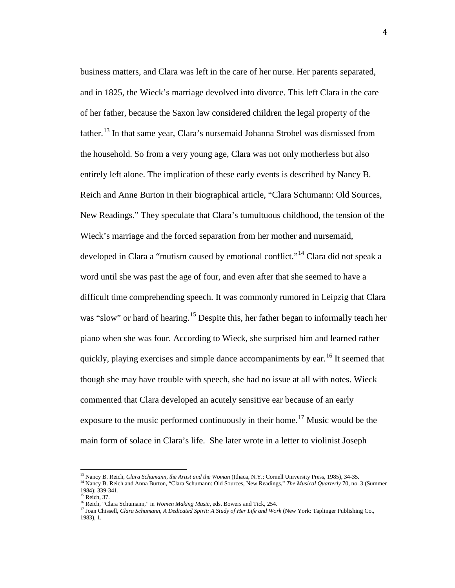business matters, and Clara was left in the care of her nurse. Her parents separated, and in 1825, the Wieck's marriage devolved into divorce. This left Clara in the care of her father, because the Saxon law considered children the legal property of the father.<sup>[13](#page-6-4)</sup> In that same year, Clara's nursemaid Johanna Strobel was dismissed from the household. So from a very young age, Clara was not only motherless but also entirely left alone. The implication of these early events is described by Nancy B. Reich and Anne Burton in their biographical article, "Clara Schumann: Old Sources, New Readings." They speculate that Clara's tumultuous childhood, the tension of the Wieck's marriage and the forced separation from her mother and nursemaid, developed in Clara a "mutism caused by emotional conflict."[14](#page-7-0) Clara did not speak a word until she was past the age of four, and even after that she seemed to have a difficult time comprehending speech. It was commonly rumored in Leipzig that Clara was "slow" or hard of hearing.<sup>[15](#page-7-1)</sup> Despite this, her father began to informally teach her piano when she was four. According to Wieck, she surprised him and learned rather quickly, playing exercises and simple dance accompaniments by ear.<sup>[16](#page-7-2)</sup> It seemed that though she may have trouble with speech, she had no issue at all with notes. Wieck commented that Clara developed an acutely sensitive ear because of an early exposure to the music performed continuously in their home.<sup>[17](#page-7-3)</sup> Music would be the main form of solace in Clara's life. She later wrote in a letter to violinist Joseph

<sup>13</sup> Nancy B. Reich, *Clara Schumann, the Artist and the Woman* (Ithaca, N.Y.: Cornell University Press, 1985), 34-35.

<span id="page-7-4"></span><span id="page-7-1"></span><span id="page-7-0"></span><sup>&</sup>lt;sup>14</sup> Nancy B. Reich and Anna Burton, "Clara Schumann: Old Sources, New Readings," *The Musical Quarterly* 70, no. 3 (Summer 1984): 339-341.  $15$  Reich, 37.

<span id="page-7-3"></span><span id="page-7-2"></span>

<sup>16</sup> Reich, "Clara Schumann," in *Women Making Music,* eds. Bowers and Tick, 254.

<sup>17</sup> Joan Chissell, *Clara Schumann, A Dedicated Spirit: A Study of Her Life and Work* (New York: Taplinger Publishing Co., 1983), 1.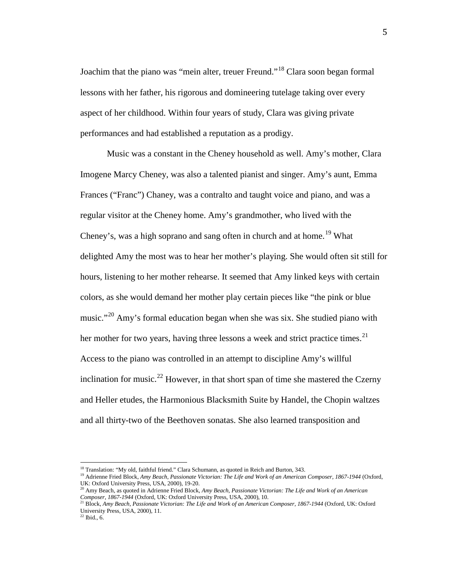Joachim that the piano was "mein alter, treuer Freund."<sup>[18](#page-7-4)</sup> Clara soon began formal lessons with her father, his rigorous and domineering tutelage taking over every aspect of her childhood. Within four years of study, Clara was giving private performances and had established a reputation as a prodigy.

Music was a constant in the Cheney household as well. Amy's mother, Clara Imogene Marcy Cheney, was also a talented pianist and singer. Amy's aunt, Emma Frances ("Franc") Chaney, was a contralto and taught voice and piano, and was a regular visitor at the Cheney home. Amy's grandmother, who lived with the Cheney's, was a high soprano and sang often in church and at home.<sup>[19](#page-8-0)</sup> What delighted Amy the most was to hear her mother's playing. She would often sit still for hours, listening to her mother rehearse. It seemed that Amy linked keys with certain colors, as she would demand her mother play certain pieces like "the pink or blue music."<sup>[20](#page-8-1)</sup> Amy's formal education began when she was six. She studied piano with her mother for two years, having three lessons a week and strict practice times.<sup>[21](#page-8-2)</sup> Access to the piano was controlled in an attempt to discipline Amy's willful inclination for music.<sup>[22](#page-8-3)</sup> However, in that short span of time she mastered the Czerny and Heller etudes, the Harmonious Blacksmith Suite by Handel, the Chopin waltzes and all thirty-two of the Beethoven sonatas. She also learned transposition and

<span id="page-8-0"></span><sup>&</sup>lt;sup>18</sup> Translation: "My old, faithful friend." Clara Schumann, as quoted in Reich and Burton, 343.<br><sup>19</sup> Adrienne Fried Block, *Amy Beach, Passionate Victorian: The Life and Work of an American Composer, 1867-1944 (Oxford, UK* 

<span id="page-8-4"></span><span id="page-8-1"></span><sup>&</sup>lt;sup>20</sup> Amy Beach, as quoted in Adrienne Fried Block, *Amy Beach, Passionate Victorian: The Life and Work of an American Composer, 1867-1944* (Oxford, UK: Oxford University Press, USA, 2000), 10.

<span id="page-8-3"></span><span id="page-8-2"></span><sup>21</sup> Block, *Amy Beach, Passionate Victorian: The Life and Work of an American Composer, 1867-1944* (Oxford, UK: Oxford University Press, USA, 2000), 11.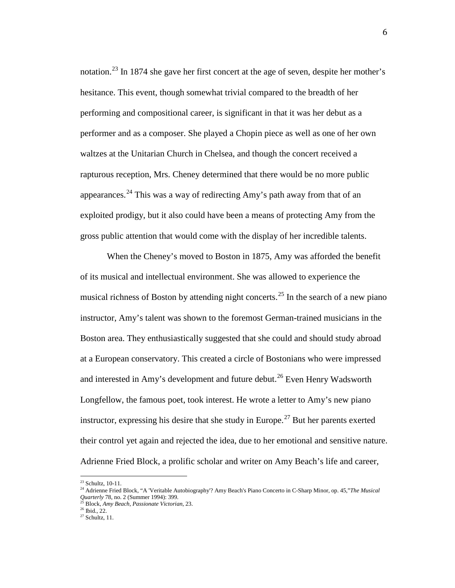notation.<sup>[23](#page-8-4)</sup> In 1874 she gave her first concert at the age of seven, despite her mother's hesitance. This event, though somewhat trivial compared to the breadth of her performing and compositional career, is significant in that it was her debut as a performer and as a composer. She played a Chopin piece as well as one of her own waltzes at the Unitarian Church in Chelsea, and though the concert received a rapturous reception, Mrs. Cheney determined that there would be no more public appearances.<sup>[24](#page-9-0)</sup> This was a way of redirecting Amy's path away from that of an exploited prodigy, but it also could have been a means of protecting Amy from the gross public attention that would come with the display of her incredible talents.

When the Cheney's moved to Boston in 1875, Amy was afforded the benefit of its musical and intellectual environment. She was allowed to experience the musical richness of Boston by attending night concerts.<sup>[25](#page-9-1)</sup> In the search of a new piano instructor, Amy's talent was shown to the foremost German-trained musicians in the Boston area. They enthusiastically suggested that she could and should study abroad at a European conservatory. This created a circle of Bostonians who were impressed and interested in Amy's development and future debut.<sup>[26](#page-9-2)</sup> Even Henry Wadsworth Longfellow, the famous poet, took interest. He wrote a letter to Amy's new piano instructor, expressing his desire that she study in Europe.<sup>[27](#page-9-3)</sup> But her parents exerted their control yet again and rejected the idea, due to her emotional and sensitive nature. Adrienne Fried Block, a prolific scholar and writer on Amy Beach's life and career,

<sup>&</sup>lt;sup>23</sup> Schultz, 10-11.

<span id="page-9-0"></span><sup>24</sup> Adrienne Fried Block, "A 'Veritable Autobiography'? Amy Beach's Piano Concerto in C-Sharp Minor, op. 45,"*The Musical Quarterly* 78, no. 2 (Summer 1994): 399.

<span id="page-9-4"></span><span id="page-9-1"></span><sup>25</sup> Block, *Amy Beach, Passionate Victorian*, 23.

<span id="page-9-3"></span><span id="page-9-2"></span> $27$  Schultz, 11.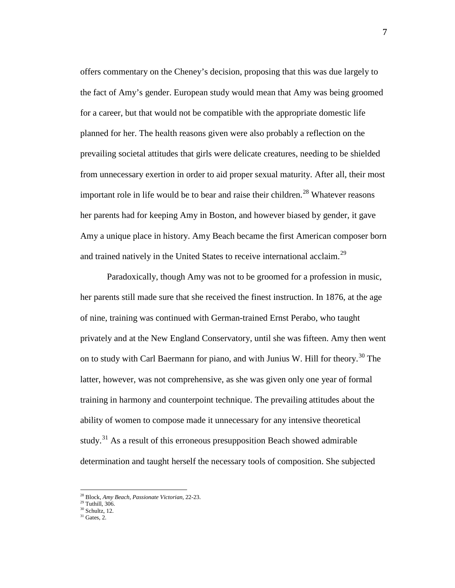offers commentary on the Cheney's decision, proposing that this was due largely to the fact of Amy's gender. European study would mean that Amy was being groomed for a career, but that would not be compatible with the appropriate domestic life planned for her. The health reasons given were also probably a reflection on the prevailing societal attitudes that girls were delicate creatures, needing to be shielded from unnecessary exertion in order to aid proper sexual maturity. After all, their most important role in life would be to bear and raise their children.<sup>[28](#page-9-4)</sup> Whatever reasons her parents had for keeping Amy in Boston, and however biased by gender, it gave Amy a unique place in history. Amy Beach became the first American composer born and trained natively in the United States to receive international acclaim.<sup>[29](#page-10-0)</sup>

Paradoxically, though Amy was not to be groomed for a profession in music, her parents still made sure that she received the finest instruction. In 1876, at the age of nine, training was continued with German-trained Ernst Perabo, who taught privately and at the New England Conservatory, until she was fifteen. Amy then went on to study with Carl Baermann for piano, and with Junius W. Hill for theory.<sup>[30](#page-10-1)</sup> The latter, however, was not comprehensive, as she was given only one year of formal training in harmony and counterpoint technique. The prevailing attitudes about the ability of women to compose made it unnecessary for any intensive theoretical study.<sup>[31](#page-10-2)</sup> As a result of this erroneous presupposition Beach showed admirable determination and taught herself the necessary tools of composition. She subjected

<span id="page-10-0"></span> $^{29}$  Tuthill, 306.<br> $^{30}$  Schultz, 12.

<span id="page-10-3"></span><sup>28</sup> Block, *Amy Beach, Passionate Victorian,* 22-23.

<span id="page-10-2"></span><span id="page-10-1"></span> $31$  Gates, 2.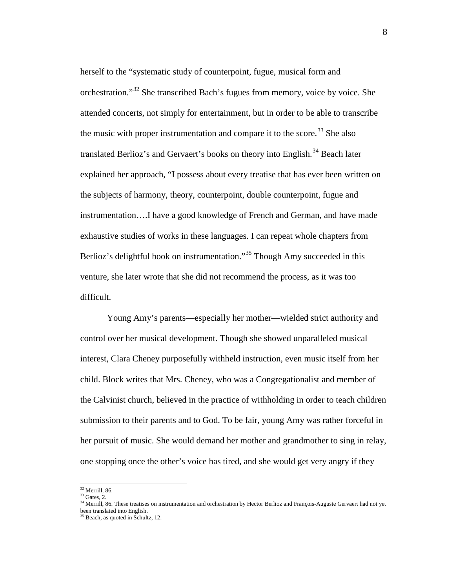herself to the "systematic study of counterpoint, fugue, musical form and orchestration."[32](#page-10-3) She transcribed Bach's fugues from memory, voice by voice. She attended concerts, not simply for entertainment, but in order to be able to transcribe the music with proper instrumentation and compare it to the score.<sup>[33](#page-11-0)</sup> She also translated Berlioz's and Gervaert's books on theory into English.<sup>[34](#page-11-1)</sup> Beach later explained her approach, "I possess about every treatise that has ever been written on the subjects of harmony, theory, counterpoint, double counterpoint, fugue and instrumentation….I have a good knowledge of French and German, and have made exhaustive studies of works in these languages. I can repeat whole chapters from Berlioz's delightful book on instrumentation."<sup>[35](#page-11-2)</sup> Though Amy succeeded in this venture, she later wrote that she did not recommend the process, as it was too difficult.

Young Amy's parents—especially her mother—wielded strict authority and control over her musical development. Though she showed unparalleled musical interest, Clara Cheney purposefully withheld instruction, even music itself from her child. Block writes that Mrs. Cheney, who was a Congregationalist and member of the Calvinist church, believed in the practice of withholding in order to teach children submission to their parents and to God. To be fair, young Amy was rather forceful in her pursuit of music. She would demand her mother and grandmother to sing in relay, one stopping once the other's voice has tired, and she would get very angry if they

 $32$  Merrill, 86.<br> $33$  Gates, 2.

<span id="page-11-0"></span>

<span id="page-11-1"></span><sup>&</sup>lt;sup>34</sup> Merrill, 86. These treatises on instrumentation and orchestration by Hector Berlioz and François-Auguste Gervaert had not yet been translated into English.

<span id="page-11-2"></span><sup>&</sup>lt;sup>35</sup> Beach, as quoted in Schultz, 12.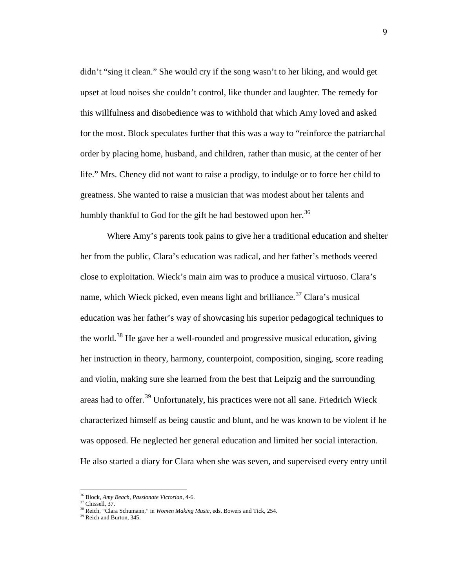didn't "sing it clean." She would cry if the song wasn't to her liking, and would get upset at loud noises she couldn't control, like thunder and laughter. The remedy for this willfulness and disobedience was to withhold that which Amy loved and asked for the most. Block speculates further that this was a way to "reinforce the patriarchal order by placing home, husband, and children, rather than music, at the center of her life." Mrs. Cheney did not want to raise a prodigy, to indulge or to force her child to greatness. She wanted to raise a musician that was modest about her talents and humbly thankful to God for the gift he had bestowed upon her.<sup>[36](#page-11-0)</sup>

Where Amy's parents took pains to give her a traditional education and shelter her from the public, Clara's education was radical, and her father's methods veered close to exploitation. Wieck's main aim was to produce a musical virtuoso. Clara's name, which Wieck picked, even means light and brilliance.<sup>[37](#page-12-0)</sup> Clara's musical education was her father's way of showcasing his superior pedagogical techniques to the world.<sup>[38](#page-12-1)</sup> He gave her a well-rounded and progressive musical education, giving her instruction in theory, harmony, counterpoint, composition, singing, score reading and violin, making sure she learned from the best that Leipzig and the surrounding areas had to offer.<sup>[39](#page-12-2)</sup> Unfortunately, his practices were not all sane. Friedrich Wieck characterized himself as being caustic and blunt, and he was known to be violent if he was opposed. He neglected her general education and limited her social interaction. He also started a diary for Clara when she was seven, and supervised every entry until

<span id="page-12-3"></span><sup>36</sup> Block, *Amy Beach, Passionate Victorian,* 4-6.

<sup>37</sup> Chissell, 37.

<span id="page-12-2"></span><span id="page-12-1"></span><span id="page-12-0"></span><sup>&</sup>lt;sup>38</sup> Reich, "Clara Schumann," in *Women Making Music*, eds. Bowers and Tick, 254. <sup>39</sup> Reich and Burton. 345.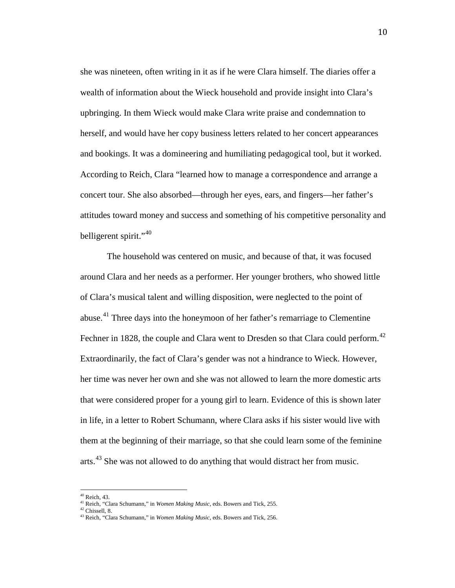she was nineteen, often writing in it as if he were Clara himself. The diaries offer a wealth of information about the Wieck household and provide insight into Clara's upbringing. In them Wieck would make Clara write praise and condemnation to herself, and would have her copy business letters related to her concert appearances and bookings. It was a domineering and humiliating pedagogical tool, but it worked. According to Reich, Clara "learned how to manage a correspondence and arrange a concert tour. She also absorbed—through her eyes, ears, and fingers—her father's attitudes toward money and success and something of his competitive personality and belligerent spirit." $40$ 

The household was centered on music, and because of that, it was focused around Clara and her needs as a performer. Her younger brothers, who showed little of Clara's musical talent and willing disposition, were neglected to the point of abuse.<sup>[41](#page-13-0)</sup> Three days into the honeymoon of her father's remarriage to Clementine Fechner in 1828, the couple and Clara went to Dresden so that Clara could perform.<sup>[42](#page-13-1)</sup> Extraordinarily, the fact of Clara's gender was not a hindrance to Wieck. However, her time was never her own and she was not allowed to learn the more domestic arts that were considered proper for a young girl to learn. Evidence of this is shown later in life, in a letter to Robert Schumann, where Clara asks if his sister would live with them at the beginning of their marriage, so that she could learn some of the feminine arts.<sup>[43](#page-13-2)</sup> She was not allowed to do anything that would distract her from music.

10

<span id="page-13-3"></span> $40$  Reich, 43.

<span id="page-13-0"></span><sup>41</sup> Reich, "Clara Schumann," in *Women Making Music,* eds. Bowers and Tick, 255.

<span id="page-13-2"></span><span id="page-13-1"></span><sup>&</sup>lt;sup>43</sup> Reich, "Clara Schumann," in *Women Making Music*, eds. Bowers and Tick, 256.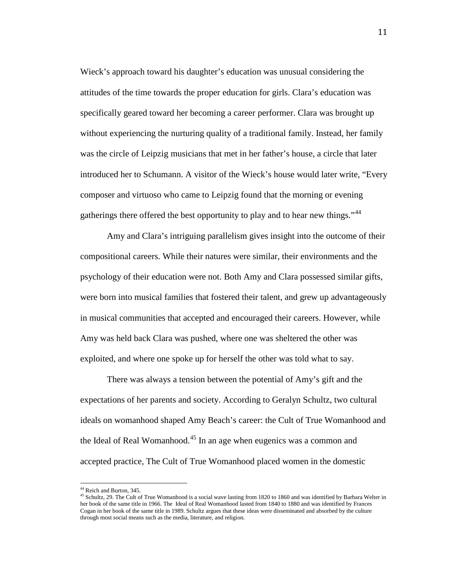Wieck's approach toward his daughter's education was unusual considering the attitudes of the time towards the proper education for girls. Clara's education was specifically geared toward her becoming a career performer. Clara was brought up without experiencing the nurturing quality of a traditional family. Instead, her family was the circle of Leipzig musicians that met in her father's house, a circle that later introduced her to Schumann. A visitor of the Wieck's house would later write, "Every composer and virtuoso who came to Leipzig found that the morning or evening gatherings there offered the best opportunity to play and to hear new things."<sup>[44](#page-13-3)</sup>

Amy and Clara's intriguing parallelism gives insight into the outcome of their compositional careers. While their natures were similar, their environments and the psychology of their education were not. Both Amy and Clara possessed similar gifts, were born into musical families that fostered their talent, and grew up advantageously in musical communities that accepted and encouraged their careers. However, while Amy was held back Clara was pushed, where one was sheltered the other was exploited, and where one spoke up for herself the other was told what to say.

There was always a tension between the potential of Amy's gift and the expectations of her parents and society. According to Geralyn Schultz, two cultural ideals on womanhood shaped Amy Beach's career: the Cult of True Womanhood and the Ideal of Real Womanhood.<sup>[45](#page-14-0)</sup> In an age when eugenics was a common and accepted practice, The Cult of True Womanhood placed women in the domestic

<span id="page-14-1"></span><span id="page-14-0"></span><sup>&</sup>lt;sup>44</sup> Reich and Burton, 345.<br><sup>45</sup> Schultz, 29. The Cult of True Womanhood is a social wave lasting from 1820 to 1860 and was identified by Barbara Welter in her book of the same title in 1966. The Ideal of Real Womanhood lasted from 1840 to 1880 and was identified by Frances Cogan in her book of the same title in 1989. Schultz argues that these ideas were disseminated and absorbed by the culture through most social means such as the media, literature, and religion.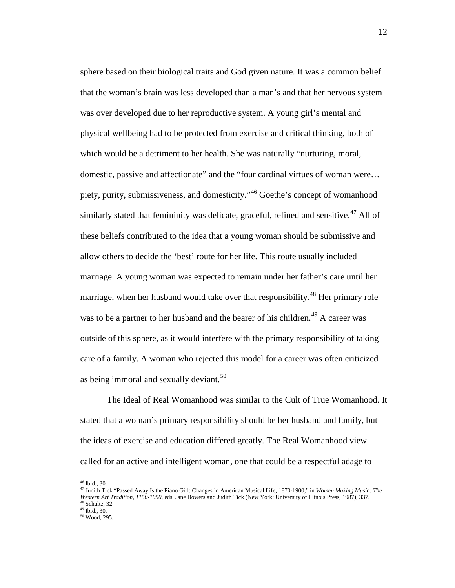sphere based on their biological traits and God given nature. It was a common belief that the woman's brain was less developed than a man's and that her nervous system was over developed due to her reproductive system. A young girl's mental and physical wellbeing had to be protected from exercise and critical thinking, both of which would be a detriment to her health. She was naturally "nurturing, moral, domestic, passive and affectionate" and the "four cardinal virtues of woman were… piety, purity, submissiveness, and domesticity."[46](#page-14-1) Goethe's concept of womanhood similarly stated that femininity was delicate, graceful, refined and sensitive.<sup>[47](#page-15-0)</sup> All of these beliefs contributed to the idea that a young woman should be submissive and allow others to decide the 'best' route for her life. This route usually included marriage. A young woman was expected to remain under her father's care until her marriage, when her husband would take over that responsibility.<sup>[48](#page-15-1)</sup> Her primary role was to be a partner to her husband and the bearer of his children.<sup>[49](#page-15-2)</sup> A career was outside of this sphere, as it would interfere with the primary responsibility of taking care of a family. A woman who rejected this model for a career was often criticized as being immoral and sexually deviant.<sup>[50](#page-15-3)</sup>

The Ideal of Real Womanhood was similar to the Cult of True Womanhood. It stated that a woman's primary responsibility should be her husband and family, but the ideas of exercise and education differed greatly. The Real Womanhood view called for an active and intelligent woman, one that could be a respectful adage to

<span id="page-15-0"></span>

<sup>&</sup>lt;sup>46</sup> Ibid., 30.<br><sup>47</sup> Judith Tick "Passed Away Is the Piano Girl: Changes in American Musical Life, 1870-1900," in *Women Making Music: The Western Art Tradition, 1150-1050*, eds. Jane Bowers and Judith Tick (New York: University of Illinois Press, 1987), 337.

<span id="page-15-4"></span><span id="page-15-1"></span> $48$  Schultz, 32.<br> $49$  Ibid., 30.

<span id="page-15-3"></span><span id="page-15-2"></span> $50$  Wood, 295.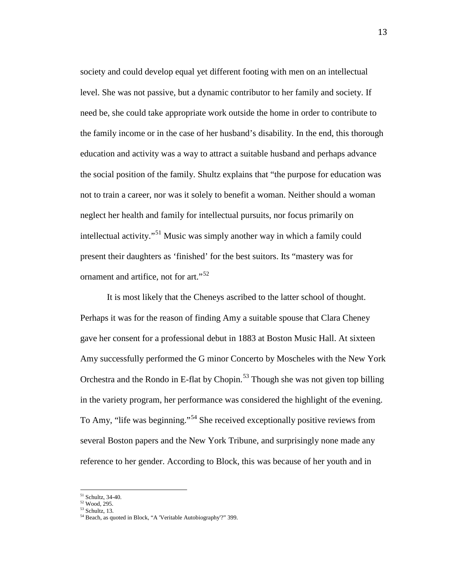society and could develop equal yet different footing with men on an intellectual level. She was not passive, but a dynamic contributor to her family and society. If need be, she could take appropriate work outside the home in order to contribute to the family income or in the case of her husband's disability. In the end, this thorough education and activity was a way to attract a suitable husband and perhaps advance the social position of the family. Shultz explains that "the purpose for education was not to train a career, nor was it solely to benefit a woman. Neither should a woman neglect her health and family for intellectual pursuits, nor focus primarily on intellectual activity."<sup>[51](#page-15-4)</sup> Music was simply another way in which a family could present their daughters as 'finished' for the best suitors. Its "mastery was for ornament and artifice, not for art."<sup>[52](#page-16-0)</sup>

It is most likely that the Cheneys ascribed to the latter school of thought. Perhaps it was for the reason of finding Amy a suitable spouse that Clara Cheney gave her consent for a professional debut in 1883 at Boston Music Hall. At sixteen Amy successfully performed the G minor Concerto by Moscheles with the New York Orchestra and the Rondo in E-flat by Chopin.<sup>[53](#page-16-1)</sup> Though she was not given top billing in the variety program, her performance was considered the highlight of the evening. To Amy, "life was beginning."<sup>[54](#page-16-2)</sup> She received exceptionally positive reviews from several Boston papers and the New York Tribune, and surprisingly none made any reference to her gender. According to Block, this was because of her youth and in

<span id="page-16-3"></span> $51$  Schultz, 34-40.<br> $52$  Wood, 295.<br> $53$  Schultz, 13.

<span id="page-16-1"></span><span id="page-16-0"></span>

<span id="page-16-2"></span> $54$  Beach, as quoted in Block, "A 'Veritable Autobiography'?" 399.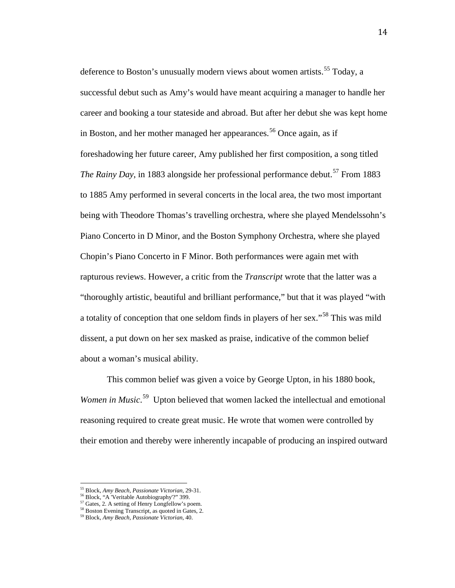deference to Boston's unusually modern views about women artists.<sup>[55](#page-16-3)</sup> Today, a successful debut such as Amy's would have meant acquiring a manager to handle her career and booking a tour stateside and abroad. But after her debut she was kept home in Boston, and her mother managed her appearances.<sup>[56](#page-17-0)</sup> Once again, as if foreshadowing her future career, Amy published her first composition, a song titled *The Rainy Day*, in 1883 alongside her professional performance debut.<sup>[57](#page-17-1)</sup> From 1883 to 1885 Amy performed in several concerts in the local area, the two most important being with Theodore Thomas's travelling orchestra, where she played Mendelssohn's Piano Concerto in D Minor, and the Boston Symphony Orchestra, where she played Chopin's Piano Concerto in F Minor. Both performances were again met with rapturous reviews. However, a critic from the *Transcript* wrote that the latter was a "thoroughly artistic, beautiful and brilliant performance," but that it was played "with a totality of conception that one seldom finds in players of her sex."<sup>[58](#page-17-2)</sup> This was mild dissent, a put down on her sex masked as praise, indicative of the common belief about a woman's musical ability.

This common belief was given a voice by George Upton, in his 1880 book, Women in Music.<sup>[59](#page-17-3)</sup> Upton believed that women lacked the intellectual and emotional reasoning required to create great music. He wrote that women were controlled by their emotion and thereby were inherently incapable of producing an inspired outward

<span id="page-17-1"></span><span id="page-17-0"></span>

<span id="page-17-4"></span><sup>&</sup>lt;sup>55</sup> Block, *Amy Beach, Passionate Victorian*, 29-31.<br><sup>56</sup> Block, "A 'Veritable Autobiography'?" 399.<br><sup>57</sup> Gates, 2. A setting of Henry Longfellow's poem.<br><sup>58</sup> Boston Evening Transcript, as quoted in Gates, 2.<br><sup>59</sup> Block,

<span id="page-17-3"></span><span id="page-17-2"></span>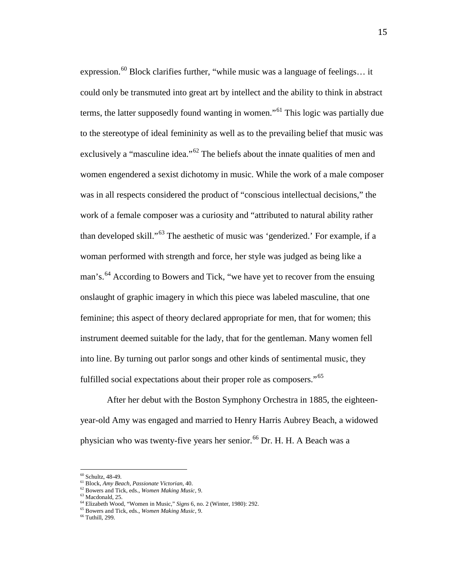expression.<sup>[60](#page-17-4)</sup> Block clarifies further, "while music was a language of feelings... it could only be transmuted into great art by intellect and the ability to think in abstract terms, the latter supposedly found wanting in women."<sup>[61](#page-18-0)</sup> This logic was partially due to the stereotype of ideal femininity as well as to the prevailing belief that music was exclusively a "masculine idea."<sup>[62](#page-18-1)</sup> The beliefs about the innate qualities of men and women engendered a sexist dichotomy in music. While the work of a male composer was in all respects considered the product of "conscious intellectual decisions," the work of a female composer was a curiosity and "attributed to natural ability rather than developed skill."<sup>[63](#page-18-2)</sup> The aesthetic of music was 'genderized.' For example, if a woman performed with strength and force, her style was judged as being like a man's.<sup>[64](#page-18-3)</sup> According to Bowers and Tick, "we have yet to recover from the ensuing onslaught of graphic imagery in which this piece was labeled masculine, that one feminine; this aspect of theory declared appropriate for men, that for women; this instrument deemed suitable for the lady, that for the gentleman. Many women fell into line. By turning out parlor songs and other kinds of sentimental music, they fulfilled social expectations about their proper role as composers."<sup>[65](#page-18-4)</sup>

After her debut with the Boston Symphony Orchestra in 1885, the eighteenyear-old Amy was engaged and married to Henry Harris Aubrey Beach, a widowed physician who was twenty-five years her senior.<sup>[66](#page-18-5)</sup> Dr. H. H. A Beach was a

<span id="page-18-1"></span><span id="page-18-0"></span>

<sup>&</sup>lt;sup>61</sup> Block, *Amy Beach, Passionate Victorian*, 40.<br><sup>61</sup> Block, *Amy Beach, Passionate Victorian*, 40.<br><sup>62</sup> Bowers and Tick, eds., *Women Making Music*, 9.<br><sup>63</sup> Macdonald. 25.

<span id="page-18-2"></span>

<span id="page-18-3"></span><sup>&</sup>lt;sup>64</sup> Elizabeth Wood, "Women in Music," *Signs* 6, no. 2 (Winter, 1980): 292.<br><sup>65</sup> Bowers and Tick, eds., *Women Making Music*, 9.<br><sup>66</sup> Tuthill. 299.

<span id="page-18-5"></span><span id="page-18-4"></span>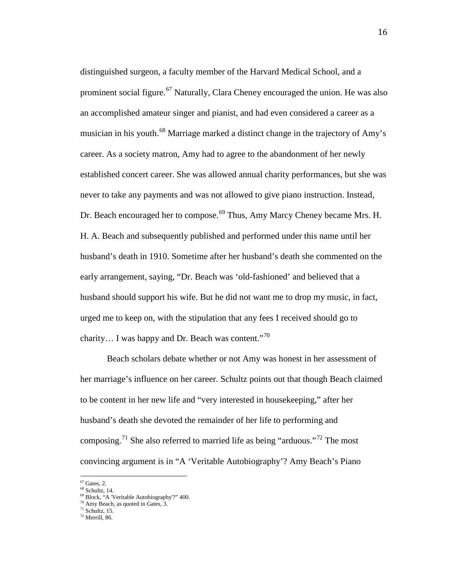distinguished surgeon, a faculty member of the Harvard Medical School, and a prominent social figure.<sup>[67](#page-18-0)</sup> Naturally, Clara Cheney encouraged the union. He was also an accomplished amateur singer and pianist, and had even considered a career as a musician in his youth.<sup>[68](#page-19-0)</sup> Marriage marked a distinct change in the trajectory of Amy's career. As a society matron, Amy had to agree to the abandonment of her newly established concert career. She was allowed annual charity performances, but she was never to take any payments and was not allowed to give piano instruction. Instead, Dr. Beach encouraged her to compose.<sup>[69](#page-19-1)</sup> Thus, Amy Marcy Cheney became Mrs. H. H. A. Beach and subsequently published and performed under this name until her husband's death in 1910. Sometime after her husband's death she commented on the early arrangement, saying, "Dr. Beach was 'old-fashioned' and believed that a husband should support his wife. But he did not want me to drop my music, in fact, urged me to keep on, with the stipulation that any fees I received should go to charity... I was happy and Dr. Beach was content."<sup>[70](#page-19-2)</sup>

Beach scholars debate whether or not Amy was honest in her assessment of her marriage's influence on her career. Schultz points out that though Beach claimed to be content in her new life and "very interested in housekeeping," after her husband's death she devoted the remainder of her life to performing and composing.<sup>[71](#page-19-3)</sup> She also referred to married life as being "arduous."<sup>[72](#page-19-4)</sup> The most convincing argument is in "A 'Veritable Autobiography'? Amy Beach's Piano

<span id="page-19-1"></span><span id="page-19-0"></span>

<span id="page-19-5"></span><sup>&</sup>lt;sup>67</sup> Gates, 2.<br><sup>68</sup> Schultz, 14.<br><sup>69</sup> Block, "A 'Veritable Autobiography'?" 400.<br><sup>70</sup> Amy Beach, as quoted in Gates, 3.<br><sup>71</sup> Schultz, 15.<br><sup>72</sup> Merrill. 86.

<span id="page-19-2"></span>

<span id="page-19-4"></span><span id="page-19-3"></span>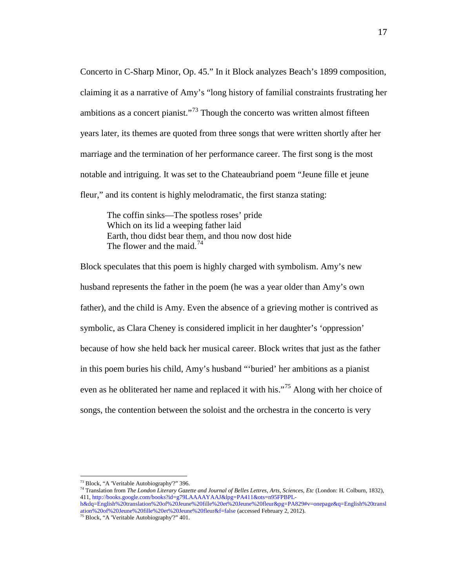Concerto in C-Sharp Minor, Op. 45." In it Block analyzes Beach's 1899 composition, claiming it as a narrative of Amy's "long history of familial constraints frustrating her ambitions as a concert pianist."<sup>[73](#page-19-5)</sup> Though the concerto was written almost fifteen years later, its themes are quoted from three songs that were written shortly after her marriage and the termination of her performance career. The first song is the most notable and intriguing. It was set to the Chateaubriand poem "Jeune fille et jeune fleur," and its content is highly melodramatic, the first stanza stating:

The coffin sinks—The spotless roses' pride Which on its lid a weeping father laid Earth, thou didst bear them, and thou now dost hide The flower and the maid.<sup>[74](#page-20-0)</sup>

Block speculates that this poem is highly charged with symbolism. Amy's new husband represents the father in the poem (he was a year older than Amy's own father), and the child is Amy. Even the absence of a grieving mother is contrived as symbolic, as Clara Cheney is considered implicit in her daughter's 'oppression' because of how she held back her musical career. Block writes that just as the father in this poem buries his child, Amy's husband "'buried' her ambitions as a pianist even as he obliterated her name and replaced it with his."<sup>[75](#page-20-1)</sup> Along with her choice of songs, the contention between the soloist and the orchestra in the concerto is very

<span id="page-20-0"></span>

<sup>&</sup>lt;sup>73</sup> Block, "A 'Veritable Autobiography'?" 396.<br><sup>74</sup> Translation from *The London Literary Gazette and Journal of Belles Lettres, Arts, Sciences, Etc (London: H. Colburn, 1832),* 411, [http://books.google.com/books?id=g79LAAAAYAAJ&lpg=PA411&ots=n95FPBPL-](http://books.google.com/books?id=g79LAAAAYAAJ&lpg=PA411&ots=n95FPBPL-h&dq=English%20translation%20of%20Jeune%20fille%20et%20Jeune%20fleur&pg=PA829#v=onepage&q=English%20translation%20of%20Jeune%20fille%20et%20Jeune%20fleur&f=false)

<span id="page-20-2"></span><span id="page-20-1"></span>[h&dq=English%20translation%20of%20Jeune%20fille%20et%20Jeune%20fleur&pg=PA829#v=onepage&q=English%20transl](http://books.google.com/books?id=g79LAAAAYAAJ&lpg=PA411&ots=n95FPBPL-h&dq=English%20translation%20of%20Jeune%20fille%20et%20Jeune%20fleur&pg=PA829#v=onepage&q=English%20translation%20of%20Jeune%20fille%20et%20Jeune%20fleur&f=false) [ation%20of%20Jeune%20fille%20et%20Jeune%20fleur&f=false](http://books.google.com/books?id=g79LAAAAYAAJ&lpg=PA411&ots=n95FPBPL-h&dq=English%20translation%20of%20Jeune%20fille%20et%20Jeune%20fleur&pg=PA829#v=onepage&q=English%20translation%20of%20Jeune%20fille%20et%20Jeune%20fleur&f=false) (accessed February 2, 2012). <sup>75</sup> Block, "A 'Veritable Autobiography'?" 401.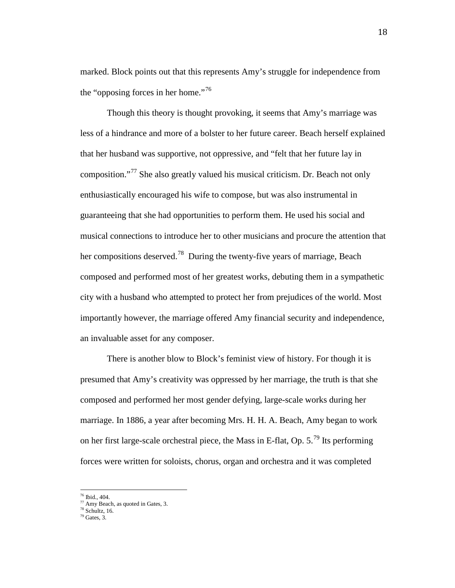marked. Block points out that this represents Amy's struggle for independence from the "opposing forces in her home."<sup>[76](#page-20-2)</sup>

Though this theory is thought provoking, it seems that Amy's marriage was less of a hindrance and more of a bolster to her future career. Beach herself explained that her husband was supportive, not oppressive, and "felt that her future lay in composition."<sup>[77](#page-21-0)</sup> She also greatly valued his musical criticism. Dr. Beach not only enthusiastically encouraged his wife to compose, but was also instrumental in guaranteeing that she had opportunities to perform them. He used his social and musical connections to introduce her to other musicians and procure the attention that her compositions deserved.<sup>[78](#page-21-1)</sup> During the twenty-five years of marriage, Beach composed and performed most of her greatest works, debuting them in a sympathetic city with a husband who attempted to protect her from prejudices of the world. Most importantly however, the marriage offered Amy financial security and independence, an invaluable asset for any composer.

There is another blow to Block's feminist view of history. For though it is presumed that Amy's creativity was oppressed by her marriage, the truth is that she composed and performed her most gender defying, large-scale works during her marriage. In 1886, a year after becoming Mrs. H. H. A. Beach, Amy began to work on her first large-scale orchestral piece, the Mass in E-flat, Op.  $5.^{79}$  $5.^{79}$  $5.^{79}$  Its performing forces were written for soloists, chorus, organ and orchestra and it was completed

<span id="page-21-3"></span><span id="page-21-0"></span><sup>&</sup>lt;sup>76</sup> Ibid., 404.<br><sup>77</sup> Amy Beach, as quoted in Gates, 3.<br><sup>78</sup> Schultz, 16.<br><sup>79</sup> Gates. 3.

<span id="page-21-2"></span><span id="page-21-1"></span>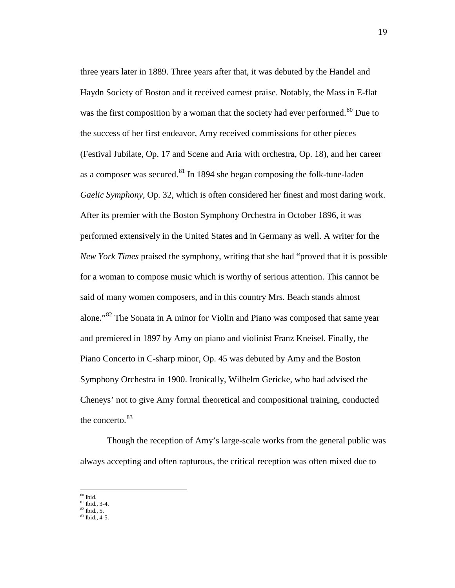three years later in 1889. Three years after that, it was debuted by the Handel and Haydn Society of Boston and it received earnest praise. Notably, the Mass in E-flat was the first composition by a woman that the society had ever performed.<sup>[80](#page-21-3)</sup> Due to the success of her first endeavor, Amy received commissions for other pieces (Festival Jubilate*,* Op. 17 and Scene and Aria with orchestra, Op. 18), and her career as a composer was secured. <sup>[81](#page-22-0)</sup> In 1894 she began composing the folk-tune-laden *Gaelic Symphony*, Op. 32, which is often considered her finest and most daring work. After its premier with the Boston Symphony Orchestra in October 1896, it was performed extensively in the United States and in Germany as well. A writer for the *New York Times* praised the symphony, writing that she had "proved that it is possible for a woman to compose music which is worthy of serious attention. This cannot be said of many women composers, and in this country Mrs. Beach stands almost alone."<sup>[82](#page-22-1)</sup> The Sonata in A minor for Violin and Piano was composed that same year and premiered in 1897 by Amy on piano and violinist Franz Kneisel. Finally, the Piano Concerto in C-sharp minor, Op. 45 was debuted by Amy and the Boston Symphony Orchestra in 1900. Ironically, Wilhelm Gericke, who had advised the Cheneys' not to give Amy formal theoretical and compositional training, conducted the concerto.<sup>[83](#page-22-2)</sup>

Though the reception of Amy's large-scale works from the general public was always accepting and often rapturous, the critical reception was often mixed due to

19

<span id="page-22-0"></span>

<span id="page-22-3"></span> $\frac{80}{10}$  Ibid., 3-4.<br>  $\frac{82}{10}$  Ibid., 5.<br>  $\frac{83}{10}$  Ibid., 4-5.

<span id="page-22-2"></span><span id="page-22-1"></span>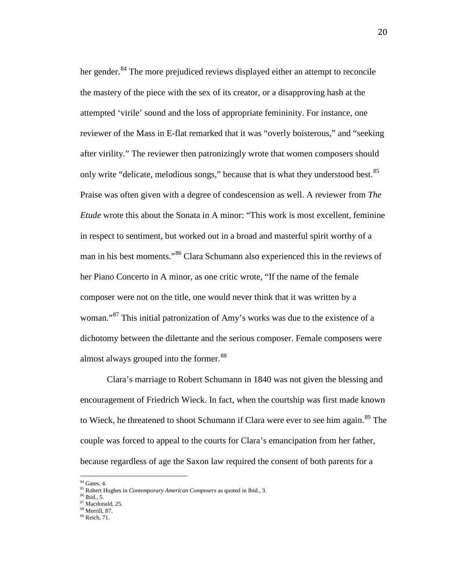her gender.<sup>[84](#page-22-3)</sup> The more prejudiced reviews displayed either an attempt to reconcile the mastery of the piece with the sex of its creator, or a disapproving hash at the attempted 'virile' sound and the loss of appropriate femininity. For instance, one reviewer of the Mass in E-flat remarked that it was "overly boisterous," and "seeking after virility." The reviewer then patronizingly wrote that women composers should only write "delicate, melodious songs," because that is what they understood best.<sup>[85](#page-23-0)</sup> Praise was often given with a degree of condescension as well. A reviewer from *The Etude* wrote this about the Sonata in A minor: "This work is most excellent, feminine in respect to sentiment, but worked out in a broad and masterful spirit worthy of a man in his best moments."[86](#page-23-1) Clara Schumann also experienced this in the reviews of her Piano Concerto in A minor, as one critic wrote, "If the name of the female composer were not on the title, one would never think that it was written by a woman."<sup>[87](#page-23-2)</sup> This initial patronization of Amy's works was due to the existence of a dichotomy between the dilettante and the serious composer. Female composers were almost always grouped into the former.<sup>[88](#page-23-3)</sup>

Clara's marriage to Robert Schumann in 1840 was not given the blessing and encouragement of Friedrich Wieck. In fact, when the courtship was first made known to Wieck, he threatened to shoot Schumann if Clara were ever to see him again.<sup>[89](#page-23-4)</sup> The couple was forced to appeal to the courts for Clara's emancipation from her father, because regardless of age the Saxon law required the consent of both parents for a

<span id="page-23-5"></span><sup>84</sup> Gates, 4.

<span id="page-23-0"></span><sup>&</sup>lt;sup>85</sup> Robert Hughes in *Contemporary American Composers* as quoted in Ibid., 3.<br><sup>86</sup> Ibid., 5.<br><sup>87</sup> Macdonald, 25.<br><sup>87</sup> Macdonald, 25.

<span id="page-23-1"></span>

<span id="page-23-2"></span>

<span id="page-23-4"></span><span id="page-23-3"></span> $89$  Reich, 71.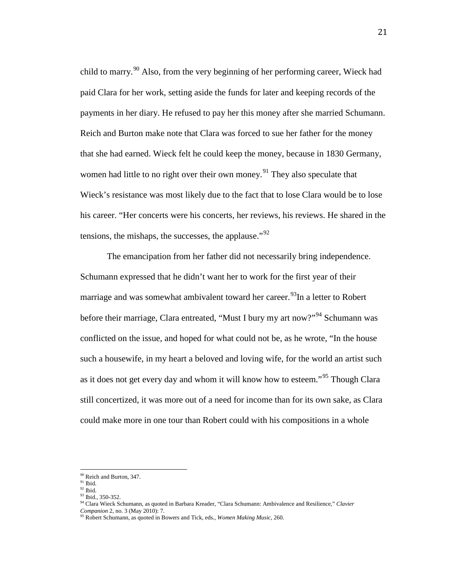child to marry.<sup>[90](#page-23-5)</sup> Also, from the very beginning of her performing career, Wieck had paid Clara for her work, setting aside the funds for later and keeping records of the payments in her diary. He refused to pay her this money after she married Schumann. Reich and Burton make note that Clara was forced to sue her father for the money that she had earned. Wieck felt he could keep the money, because in 1830 Germany, women had little to no right over their own money.<sup>[91](#page-24-0)</sup> They also speculate that Wieck's resistance was most likely due to the fact that to lose Clara would be to lose his career. "Her concerts were his concerts, her reviews, his reviews. He shared in the tensions, the mishaps, the successes, the applause."<sup>[92](#page-24-1)</sup>

The emancipation from her father did not necessarily bring independence. Schumann expressed that he didn't want her to work for the first year of their marriage and was somewhat ambivalent toward her career.<sup>[93](#page-24-2)</sup>In a letter to Robert before their marriage, Clara entreated, "Must I bury my art now?"<sup>[94](#page-24-3)</sup> Schumann was conflicted on the issue, and hoped for what could not be, as he wrote, "In the house such a housewife, in my heart a beloved and loving wife, for the world an artist such as it does not get every day and whom it will know how to esteem."<sup>[95](#page-24-4)</sup> Though Clara still concertized, it was more out of a need for income than for its own sake, as Clara could make more in one tour than Robert could with his compositions in a whole

<span id="page-24-5"></span><sup>&</sup>lt;sup>90</sup> Reich and Burton, 347.<br><sup>91</sup> Ibid.<br><sup>92</sup> Ibid.

<span id="page-24-1"></span><span id="page-24-0"></span>

<span id="page-24-3"></span><span id="page-24-2"></span><sup>93</sup> Ibid., 350-352.<br><sup>94</sup> Clara Wieck Schumann, as quoted in Barbara Kreader, "Clara Schumann: Ambivalence and Resilience," *Clavier Companion* 2, no. 3 (May 2010): 7.

<span id="page-24-4"></span><sup>&</sup>lt;sup>95</sup> Robert Schumann, as quoted in Bowers and Tick, eds., *Women Making Music*, 260.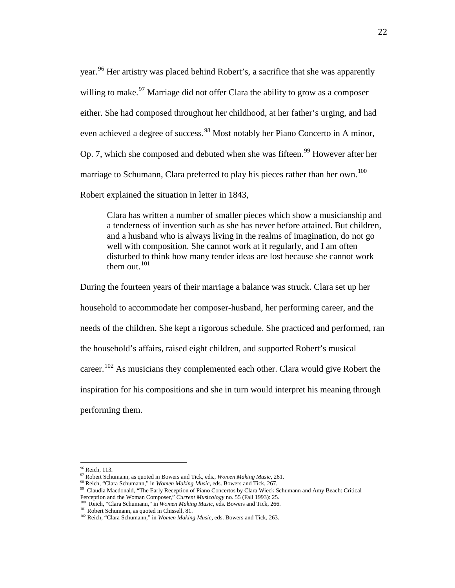year.<sup>[96](#page-24-5)</sup> Her artistry was placed behind Robert's, a sacrifice that she was apparently willing to make.  $97$  Marriage did not offer Clara the ability to grow as a composer either. She had composed throughout her childhood, at her father's urging, and had even achieved a degree of success.<sup>[98](#page-25-1)</sup> Most notably her Piano Concerto in A minor, Op. 7, which she composed and debuted when she was fifteen.<sup>[99](#page-25-2)</sup> However after her marriage to Schumann, Clara preferred to play his pieces rather than her own.<sup>[100](#page-25-3)</sup> Robert explained the situation in letter in 1843,

Clara has written a number of smaller pieces which show a musicianship and a tenderness of invention such as she has never before attained. But children, and a husband who is always living in the realms of imagination, do not go well with composition. She cannot work at it regularly, and I am often disturbed to think how many tender ideas are lost because she cannot work them out. $101$ 

During the fourteen years of their marriage a balance was struck. Clara set up her household to accommodate her composer-husband, her performing career, and the needs of the children. She kept a rigorous schedule. She practiced and performed, ran the household's affairs, raised eight children, and supported Robert's musical career.<sup>[102](#page-25-5)</sup> As musicians they complemented each other. Clara would give Robert the inspiration for his compositions and she in turn would interpret his meaning through performing them.

<span id="page-25-0"></span><sup>&</sup>lt;sup>96</sup> Reich, 113.<br><sup>97</sup> Robert Schumann, as quoted in Bowers and Tick, eds., *Women Making Music*, 261.

<sup>98</sup> Reich, "Clara Schumann," in *Women Making Music,* eds. Bowers and Tick, 267.

<span id="page-25-2"></span><span id="page-25-1"></span><sup>&</sup>lt;sup>99</sup> Claudia Macdonald, "The Early Reception of Piano Concertos by Clara Wieck Schumann and Amy Beach: Critical Perception and the Woman Composer," Current Musicology no. 55 (Fall 1993): 25.

<span id="page-25-3"></span><sup>&</sup>lt;sup>100</sup> Reich, "Clara Schumann," in *Women Making Music*, eds. Bowers and Tick, 266. <sup>101</sup> Robert Schumann, as quoted in Chissell, 81.

<span id="page-25-5"></span><span id="page-25-4"></span><sup>&</sup>lt;sup>102</sup> Reich, "Clara Schumann," in *Women Making Music*, eds. Bowers and Tick, 263.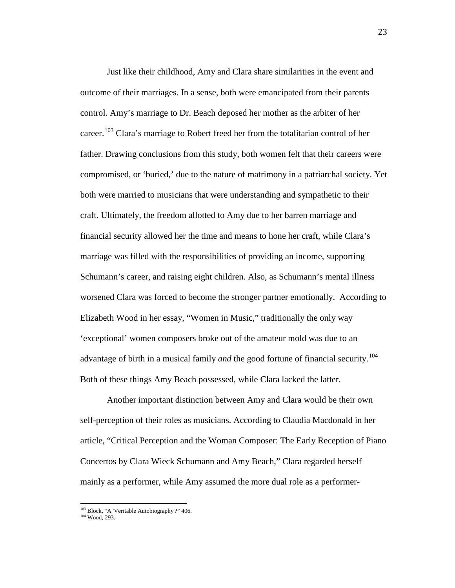Just like their childhood, Amy and Clara share similarities in the event and outcome of their marriages. In a sense, both were emancipated from their parents control. Amy's marriage to Dr. Beach deposed her mother as the arbiter of her career.<sup>[103](#page-25-4)</sup> Clara's marriage to Robert freed her from the totalitarian control of her father. Drawing conclusions from this study, both women felt that their careers were compromised, or 'buried,' due to the nature of matrimony in a patriarchal society. Yet both were married to musicians that were understanding and sympathetic to their craft. Ultimately, the freedom allotted to Amy due to her barren marriage and financial security allowed her the time and means to hone her craft, while Clara's marriage was filled with the responsibilities of providing an income, supporting Schumann's career, and raising eight children. Also, as Schumann's mental illness worsened Clara was forced to become the stronger partner emotionally. According to Elizabeth Wood in her essay, "Women in Music," traditionally the only way 'exceptional' women composers broke out of the amateur mold was due to an advantage of birth in a musical family *and* the good fortune of financial security.<sup>[104](#page-26-0)</sup> Both of these things Amy Beach possessed, while Clara lacked the latter.

Another important distinction between Amy and Clara would be their own self-perception of their roles as musicians. According to Claudia Macdonald in her article, "Critical Perception and the Woman Composer: The Early Reception of Piano Concertos by Clara Wieck Schumann and Amy Beach," Clara regarded herself mainly as a performer, while Amy assumed the more dual role as a performer-

<span id="page-26-1"></span><span id="page-26-0"></span><sup>&</sup>lt;sup>103</sup> Block, "A 'Veritable Autobiography'?" 406.<br><sup>104</sup> Wood, 293.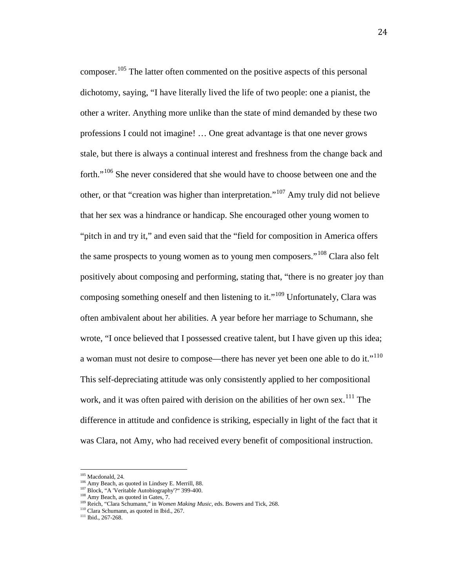composer.<sup>[105](#page-26-1)</sup> The latter often commented on the positive aspects of this personal dichotomy, saying, "I have literally lived the life of two people: one a pianist, the other a writer. Anything more unlike than the state of mind demanded by these two professions I could not imagine! … One great advantage is that one never grows stale, but there is always a continual interest and freshness from the change back and forth."<sup>[106](#page-27-0)</sup> She never considered that she would have to choose between one and the other, or that "creation was higher than interpretation."[107](#page-27-1) Amy truly did not believe that her sex was a hindrance or handicap. She encouraged other young women to "pitch in and try it," and even said that the "field for composition in America offers the same prospects to young women as to young men composers."<sup>[108](#page-27-2)</sup> Clara also felt positively about composing and performing, stating that, "there is no greater joy than composing something oneself and then listening to it."<sup>[109](#page-27-3)</sup> Unfortunately, Clara was often ambivalent about her abilities. A year before her marriage to Schumann, she wrote, "I once believed that I possessed creative talent, but I have given up this idea; a woman must not desire to compose—there has never yet been one able to do it."<sup>[110](#page-27-4)</sup> This self-depreciating attitude was only consistently applied to her compositional work, and it was often paired with derision on the abilities of her own sex.<sup>[111](#page-27-5)</sup> The difference in attitude and confidence is striking, especially in light of the fact that it was Clara, not Amy, who had received every benefit of compositional instruction.

<span id="page-27-0"></span><sup>&</sup>lt;sup>105</sup> Macdonald, 24.  $^{106}$  Amy Beach, as quoted in Lindsey E. Merrill, 88.  $^{107}$  Block, "A 'Veritable Autobiography'?" 399-400.  $^{108}$  Amy Beach, as quoted in Gates, 7.

<span id="page-27-3"></span><span id="page-27-2"></span><span id="page-27-1"></span><sup>109</sup> Reich, "Clara Schumann," in *Women Making Music,* eds. Bowers and Tick, 268.

<span id="page-27-5"></span><span id="page-27-4"></span><sup>&</sup>lt;sup>110</sup> Clara Schumann, as quoted in Ibid., 267.<br><sup>111</sup> Ibid., 267-268.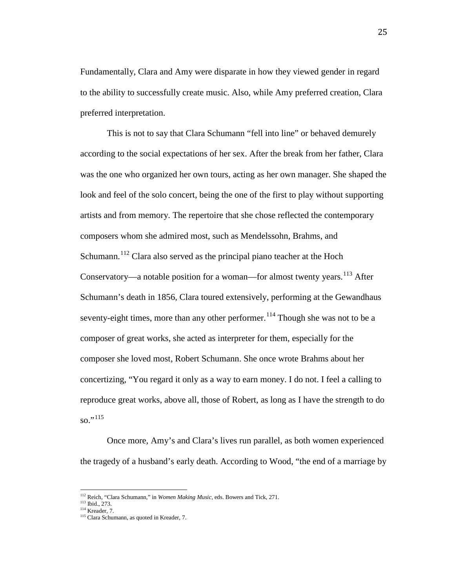Fundamentally, Clara and Amy were disparate in how they viewed gender in regard to the ability to successfully create music. Also, while Amy preferred creation, Clara preferred interpretation.

This is not to say that Clara Schumann "fell into line" or behaved demurely according to the social expectations of her sex. After the break from her father, Clara was the one who organized her own tours, acting as her own manager. She shaped the look and feel of the solo concert, being the one of the first to play without supporting artists and from memory. The repertoire that she chose reflected the contemporary composers whom she admired most, such as Mendelssohn, Brahms, and Schumann.<sup>[112](#page-27-2)</sup> Clara also served as the principal piano teacher at the Hoch Conservatory—a notable position for a woman—for almost twenty years.<sup>[113](#page-28-0)</sup> After Schumann's death in 1856, Clara toured extensively, performing at the Gewandhaus seventy-eight times, more than any other performer.<sup>[114](#page-28-1)</sup> Though she was not to be a composer of great works, she acted as interpreter for them, especially for the composer she loved most, Robert Schumann. She once wrote Brahms about her concertizing, "You regard it only as a way to earn money. I do not. I feel a calling to reproduce great works, above all, those of Robert, as long as I have the strength to do so."<sup>[115](#page-28-2)</sup>

Once more, Amy's and Clara's lives run parallel, as both women experienced the tragedy of a husband's early death. According to Wood, "the end of a marriage by

<span id="page-28-3"></span><span id="page-28-0"></span><sup>112</sup> Reich, "Clara Schumann," in *Women Making Music,* eds. Bowers and Tick, 271. 113 Ibid., 273. 114 Kreader, 7. 115 Clara Schumann, as quoted in Kreader, 7.

<span id="page-28-2"></span><span id="page-28-1"></span>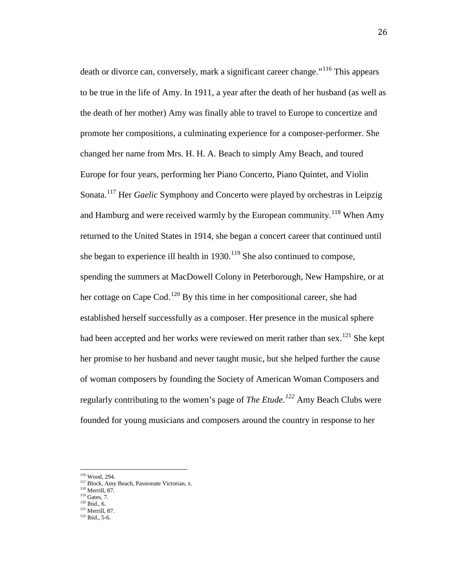death or divorce can, conversely, mark a significant career change."<sup>[116](#page-28-3)</sup> This appears to be true in the life of Amy. In 1911, a year after the death of her husband (as well as the death of her mother) Amy was finally able to travel to Europe to concertize and promote her compositions, a culminating experience for a composer-performer. She changed her name from Mrs. H. H. A. Beach to simply Amy Beach, and toured Europe for four years, performing her Piano Concerto, Piano Quintet, and Violin Sonata.[117](#page-29-0) Her *Gaelic* Symphony and Concerto were played by orchestras in Leipzig and Hamburg and were received warmly by the European community.<sup>[118](#page-29-1)</sup> When Amy returned to the United States in 1914, she began a concert career that continued until she began to experience ill health in  $1930$ .<sup>[119](#page-29-2)</sup> She also continued to compose, spending the summers at MacDowell Colony in Peterborough, New Hampshire, or at her cottage on Cape Cod.<sup>[120](#page-29-3)</sup> By this time in her compositional career, she had established herself successfully as a composer. Her presence in the musical sphere had been accepted and her works were reviewed on merit rather than sex.<sup>[121](#page-29-4)</sup> She kept her promise to her husband and never taught music, but she helped further the cause of woman composers by founding the Society of American Woman Composers and regularly contributing to the women's page of *The Etude.[122](#page-29-5)* Amy Beach Clubs were founded for young musicians and composers around the country in response to her

<span id="page-29-0"></span><sup>&</sup>lt;sup>116</sup> Wood, 294.<br><sup>117</sup> Block, Amy Beach, Passionate Victorian, x.<br><sup>118</sup> Merrill, 87.<br><sup>119</sup> Gates, 7.<br><sup>120</sup> Ibid., 6.<br><sup>121</sup> Merrill, 87.<br><sup>122</sup> Ibid., 5-6.

<span id="page-29-2"></span><span id="page-29-1"></span>

<span id="page-29-4"></span><span id="page-29-3"></span>

<span id="page-29-5"></span>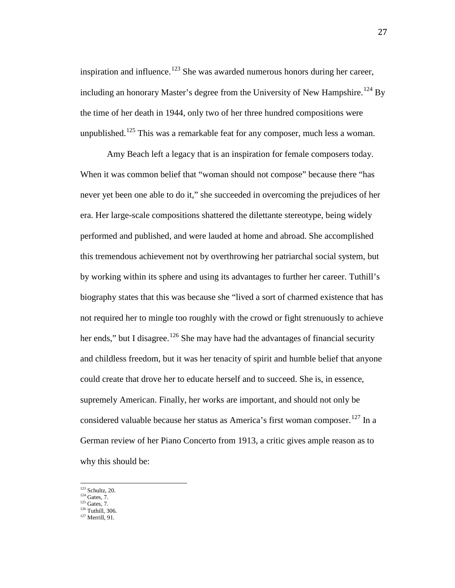inspiration and influence.<sup>[123](#page-29-1)</sup> She was awarded numerous honors during her career, including an honorary Master's degree from the University of New Hampshire.<sup>[124](#page-30-0)</sup> By the time of her death in 1944, only two of her three hundred compositions were unpublished.<sup>[125](#page-30-1)</sup> This was a remarkable feat for any composer, much less a woman.

Amy Beach left a legacy that is an inspiration for female composers today. When it was common belief that "woman should not compose" because there "has never yet been one able to do it," she succeeded in overcoming the prejudices of her era. Her large-scale compositions shattered the dilettante stereotype, being widely performed and published, and were lauded at home and abroad. She accomplished this tremendous achievement not by overthrowing her patriarchal social system, but by working within its sphere and using its advantages to further her career. Tuthill's biography states that this was because she "lived a sort of charmed existence that has not required her to mingle too roughly with the crowd or fight strenuously to achieve her ends," but I disagree.<sup>[126](#page-30-2)</sup> She may have had the advantages of financial security and childless freedom, but it was her tenacity of spirit and humble belief that anyone could create that drove her to educate herself and to succeed. She is, in essence, supremely American. Finally, her works are important, and should not only be considered valuable because her status as America's first woman composer.<sup>[127](#page-30-3)</sup> In a German review of her Piano Concerto from 1913, a critic gives ample reason as to why this should be:

 $123$  Schultz, 20.<br> $124$  Gates, 7.

<span id="page-30-0"></span>

 $125$  Gates, 7.

<span id="page-30-3"></span><span id="page-30-2"></span><span id="page-30-1"></span> $\frac{126}{127}$  Tuthill, 306.<br> $\frac{127}{127}$  Merrill, 91.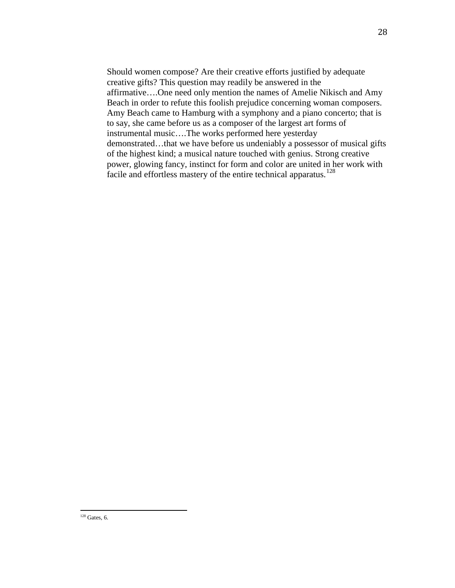Should women compose? Are their creative efforts justified by adequate creative gifts? This question may readily be answered in the affirmative….One need only mention the names of Amelie Nikisch and Amy Beach in order to refute this foolish prejudice concerning woman composers. Amy Beach came to Hamburg with a symphony and a piano concerto; that is to say, she came before us as a composer of the largest art forms of instrumental music….The works performed here yesterday demonstrated…that we have before us undeniably a possessor of musical gifts of the highest kind; a musical nature touched with genius. Strong creative power, glowing fancy, instinct for form and color are united in her work with facile and effortless mastery of the entire technical apparatus.<sup>[128](#page-30-3)</sup>

 $128$  Gates, 6.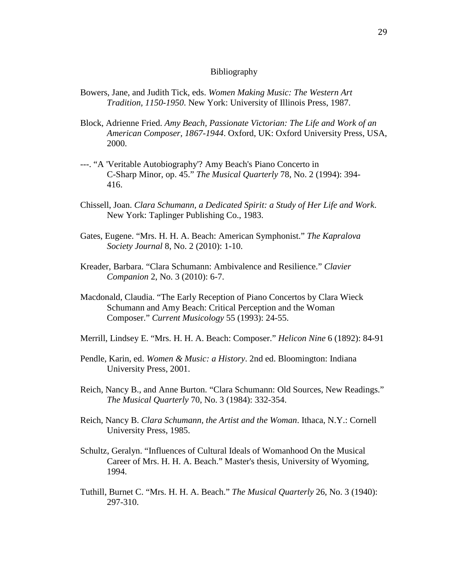#### Bibliography

- Bowers, Jane, and Judith Tick, eds. *Women Making Music: The Western Art Tradition, 1150-1950*. New York: University of Illinois Press, 1987.
- Block, Adrienne Fried. *Amy Beach, Passionate Victorian: The Life and Work of an American Composer, 1867-1944*. Oxford, UK: Oxford University Press, USA, 2000.
- ---. "A 'Veritable Autobiography'? Amy Beach's Piano Concerto in C-Sharp Minor, op. 45." *The Musical Quarterly* 78, No. 2 (1994): 394- 416.
- Chissell, Joan. *Clara Schumann, a Dedicated Spirit: a Study of Her Life and Work*. New York: Taplinger Publishing Co., 1983.
- Gates, Eugene. "Mrs. H. H. A. Beach: American Symphonist." *The Kapralova Society Journal* 8, No. 2 (2010): 1-10.
- Kreader, Barbara. "Clara Schumann: Ambivalence and Resilience." *Clavier Companion* 2, No. 3 (2010): 6-7.
- Macdonald, Claudia. "The Early Reception of Piano Concertos by Clara Wieck Schumann and Amy Beach: Critical Perception and the Woman Composer." *Current Musicology* 55 (1993): 24-55.
- Merrill, Lindsey E. "Mrs. H. H. A. Beach: Composer." *Helicon Nine* 6 (1892): 84-91
- Pendle, Karin, ed. *Women & Music: a History*. 2nd ed. Bloomington: Indiana University Press, 2001.
- Reich, Nancy B., and Anne Burton. "Clara Schumann: Old Sources, New Readings." *The Musical Quarterly* 70, No. 3 (1984): 332-354.
- Reich, Nancy B. *Clara Schumann, the Artist and the Woman*. Ithaca, N.Y.: Cornell University Press, 1985.
- Schultz, Geralyn. "Influences of Cultural Ideals of Womanhood On the Musical Career of Mrs. H. H. A. Beach." Master's thesis, University of Wyoming, 1994.
- Tuthill, Burnet C. "Mrs. H. H. A. Beach." *The Musical Quarterly* 26, No. 3 (1940): 297-310.